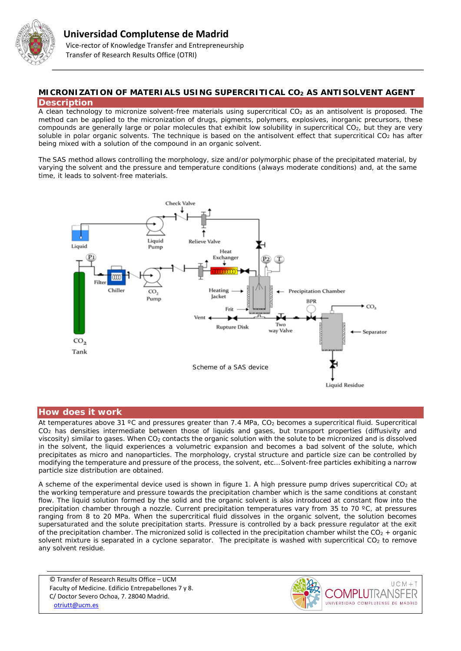

## **MICRONIZATION OF MATERIALS USING SUPERCRITICAL CO2 AS ANTISOLVENT AGENT Description**

A clean technology to micronize solvent-free materials using supercritical CO<sub>2</sub> as an antisolvent is proposed. The method can be applied to the micronization of drugs, pigments, polymers, explosives, inorganic precursors, these compounds are generally large or polar molecules that exhibit low solubility in supercritical CO<sub>2</sub>, but they are very soluble in polar organic solvents. The technique is based on the antisolvent effect that supercritical  $CO<sub>2</sub>$  has after being mixed with a solution of the compound in an organic solvent.

The SAS method allows controlling the morphology, size and/or polymorphic phase of the precipitated material, by varying the solvent and the pressure and temperature conditions (always moderate conditions) and, at the same time, it leads to solvent-free materials.



# **How does it work**

At temperatures above 31 °C and pressures greater than 7.4 MPa,  $CO<sub>2</sub>$  becomes a supercritical fluid. Supercritical CO2 has densities intermediate between those of liquids and gases, but transport properties (diffusivity and viscosity) similar to gases. When CO2 contacts the organic solution with the solute to be micronized and is dissolved in the solvent, the liquid experiences a volumetric expansion and becomes a bad solvent of the solute, which precipitates as micro and nanoparticles. The morphology, crystal structure and particle size can be controlled by modifying the temperature and pressure of the process, the solvent, etc… Solvent-free particles exhibiting a narrow particle size distribution are obtained.

A scheme of the experimental device used is shown in figure 1. A high pressure pump drives supercritical  $CO<sub>2</sub>$  at the working temperature and pressure towards the precipitation chamber which is the same conditions at constant flow. The liquid solution formed by the solid and the organic solvent is also introduced at constant flow into the precipitation chamber through a nozzle. Current precipitation temperatures vary from 35 to 70 ºC, at pressures ranging from 8 to 20 MPa. When the supercritical fluid dissolves in the organic solvent, the solution becomes supersaturated and the solute precipitation starts. Pressure is controlled by a back pressure regulator at the exit of the precipitation chamber. The micronized solid is collected in the precipitation chamber whilst the  $CO<sub>2</sub>$  + organic solvent mixture is separated in a cyclone separator. The precipitate is washed with supercritical CO<sub>2</sub> to remove any solvent residue.

© Transfer of Research Results Office – UCM Faculty of Medicine. Edificio Entrepabellones 7 y 8. C/ Doctor Severo Ochoa, 7. 28040 Madrid. [otriutt@ucm.es](mailto:otriutt@ucm.es;a.cabanas@quim.ucm.es;pando@quim.ucm.es?subject=MICRONIZATION%20OF%20MATERIALS%20USING%20SUPERCRITICAL%20CO2%20AS%20ANTISOLVENT%20AGENT)